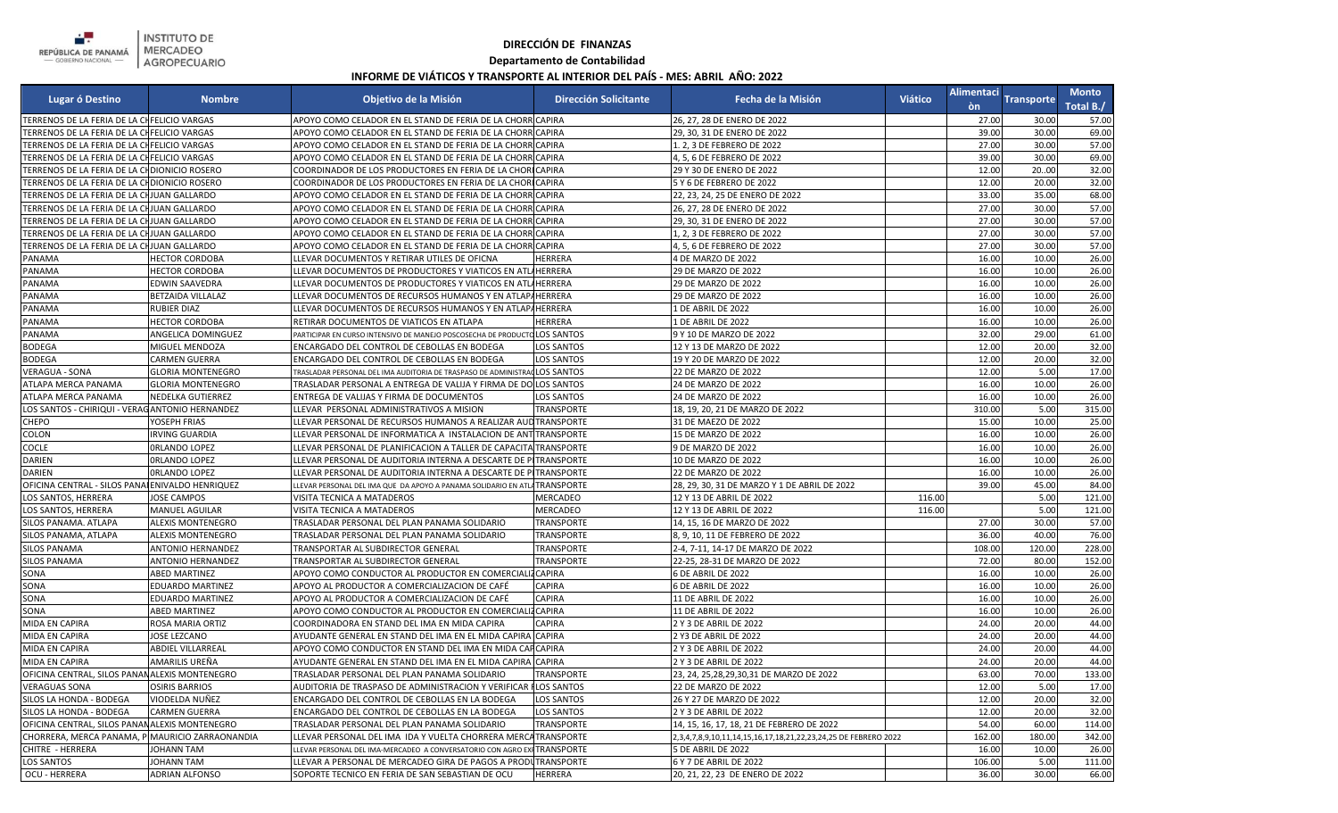

## **DIRECCIÓN DE FINANZAS**

## **Departamento de Contabilidad**

## **INFORME DE VIÁTICOS Y TRANSPORTE AL INTERIOR DEL PAÍS - MES: ABRIL AÑO: 2022**

| <b>Lugar ó Destino</b>                           | <b>Nombre</b>            | Objetivo de la Misión                                                     | <b>Dirección Solicitante</b> | Fecha de la Misión                                              | <b>Viático</b> | <b>Alimentaci</b><br>òn | <b>Transporte</b> | <b>Monto</b><br>Total B./ |
|--------------------------------------------------|--------------------------|---------------------------------------------------------------------------|------------------------------|-----------------------------------------------------------------|----------------|-------------------------|-------------------|---------------------------|
| TERRENOS DE LA FERIA DE LA CHFELICIO VARGAS      |                          | APOYO COMO CELADOR EN EL STAND DE FERIA DE LA CHORR CAPIRA                |                              | 26, 27, 28 DE ENERO DE 2022                                     |                | 27.00                   | 30.00             | 57.00                     |
| TERRENOS DE LA FERIA DE LA CHFELICIO VARGAS      |                          | APOYO COMO CELADOR EN EL STAND DE FERIA DE LA CHORRICAPIRA                |                              | 29, 30, 31 DE ENERO DE 2022                                     |                | 39.00                   | 30.00             | 69.00                     |
| TERRENOS DE LA FERIA DE LA CHFELICIO VARGAS      |                          | APOYO COMO CELADOR EN EL STAND DE FERIA DE LA CHORRICAPIRA                |                              | 1. 2, 3 DE FEBRERO DE 2022                                      |                | 27.00                   | 30.00             | 57.00                     |
| TERRENOS DE LA FERIA DE LA CHFELICIO VARGAS      |                          | APOYO COMO CELADOR EN EL STAND DE FERIA DE LA CHORRICAPIRA                |                              | 4, 5, 6 DE FEBRERO DE 2022                                      |                | 39.00                   | 30.00             | 69.00                     |
| TERRENOS DE LA FERIA DE LA CHDIONICIO ROSERO     |                          | COORDINADOR DE LOS PRODUCTORES EN FERIA DE LA CHORICAPIRA                 |                              | 29 Y 30 DE ENERO DE 2022                                        |                | 12.00                   | 2000              | 32.00                     |
| TERRENOS DE LA FERIA DE LA CHDIONICIO ROSERO     |                          | OORDINADOR DE LOS PRODUCTORES EN FERIA DE LA CHORICAPIRA                  |                              | 5 Y 6 DE FEBRERO DE 2022                                        |                | 12.00                   | 20.00             | 32.00                     |
| TERRENOS DE LA FERIA DE LA CHJUAN GALLARDO       |                          | APOYO COMO CELADOR EN EL STAND DE FERIA DE LA CHORR CAPIRA                |                              | 22, 23, 24, 25 DE ENERO DE 2022                                 |                | 33.00                   | 35.00             | 68.00                     |
| TERRENOS DE LA FERIA DE LA CHJUAN GALLARDO       |                          | APOYO COMO CELADOR EN EL STAND DE FERIA DE LA CHORRICAPIRA                |                              | 26, 27, 28 DE ENERO DE 2022                                     |                | 27.00                   | 30.00             | 57.00                     |
| TERRENOS DE LA FERIA DE LA CHJUAN GALLARDO       |                          | APOYO COMO CELADOR EN EL STAND DE FERIA DE LA CHORR CAPIRA                |                              | 29, 30, 31 DE ENERO DE 2022                                     |                | 27.00                   | 30.00             | 57.00                     |
| TERRENOS DE LA FERIA DE LA CHJUAN GALLARDO       |                          | APOYO COMO CELADOR EN EL STAND DE FERIA DE LA CHORR CAPIRA                |                              | 1, 2, 3 DE FEBRERO DE 2022                                      |                | 27.00                   | 30.00             | 57.00                     |
| TERRENOS DE LA FERIA DE LA CHJUAN GALLARDO       |                          | APOYO COMO CELADOR EN EL STAND DE FERIA DE LA CHORRICAPIRA                |                              | 4, 5, 6 DE FEBRERO DE 2022                                      |                | 27.00                   | 30.00             | 57.00                     |
| PANAMA                                           | <b>HECTOR CORDOBA</b>    | LLEVAR DOCUMENTOS Y RETIRAR UTILES DE OFICNA                              | <b>HERRERA</b>               | 4 DE MARZO DE 2022                                              |                | 16.00                   | 10.00             | 26.00                     |
| PANAMA                                           | <b>HECTOR CORDOBA</b>    | LEVAR DOCUMENTOS DE PRODUCTORES Y VIATICOS EN ATLIHERRERA                 |                              | 29 DE MARZO DE 2022                                             |                | 16.00                   | 10.00             | 26.00                     |
| PANAMA                                           | <b>EDWIN SAAVEDRA</b>    | LEVAR DOCUMENTOS DE PRODUCTORES Y VIATICOS EN ATLIHERRERA                 |                              | 29 DE MARZO DE 2022                                             |                | 16.00                   | 10.00             | 26.00                     |
| PANAMA                                           | BETZAIDA VILLALAZ        | LEVAR DOCUMENTOS DE RECURSOS HUMANOS Y EN ATLAP/HERRERA                   |                              | 29 DE MARZO DE 2022                                             |                | 16.00                   | 10.00             | 26.00                     |
| PANAMA                                           | RUBIER DIAZ              | LEVAR DOCUMENTOS DE RECURSOS HUMANOS Y EN ATLAPAHERRERA                   |                              | 1 DE ABRIL DE 2022                                              |                | 16.00                   | 10.00             | 26.00                     |
| PANAMA                                           | <b>HECTOR CORDOBA</b>    | RETIRAR DOCUMENTOS DE VIATICOS EN ATLAPA                                  | HERRERA                      | 1 DE ABRIL DE 2022                                              |                | 16.00                   | 10.00             | 26.00                     |
| PANAMA                                           | ANGELICA DOMINGUEZ       | PARTICIPAR EN CURSO INTENSIVO DE MANEJO POSCOSECHA DE PRODUCTO LOS SANTOS |                              | 9 Y 10 DE MARZO DE 2022                                         |                | 32.00                   | 29.00             | 61.00                     |
| <b>BODEGA</b>                                    | MIGUEL MENDOZA           | ENCARGADO DEL CONTROL DE CEBOLLAS EN BODEGA                               | <b>LOS SANTOS</b>            | 12 Y 13 DE MARZO DE 2022                                        |                | 12.00                   | 20.00             | 32.00                     |
| <b>BODEGA</b>                                    | <b>CARMEN GUERRA</b>     | ENCARGADO DEL CONTROL DE CEBOLLAS EN BODEGA                               | <b>LOS SANTOS</b>            | 19 Y 20 DE MARZO DE 2022                                        |                | 12.00                   | 20.00             | 32.00                     |
| <b>VERAGUA - SONA</b>                            | <b>GLORIA MONTENEGRO</b> | TRASLADAR PERSONAL DEL IMA AUDITORIA DE TRASPASO DE ADMINISTRACLOS SANTOS |                              | 22 DE MARZO DE 2022                                             |                | 12.00                   | 5.00              | 17.00                     |
| ATLAPA MERCA PANAMA                              | <b>GLORIA MONTENEGRO</b> | TRASLADAR PERSONAL A ENTREGA DE VALIJA Y FIRMA DE DOLOS SANTOS            |                              | 24 DE MARZO DE 2022                                             |                | 16.00                   | 10.00             | 26.00                     |
| ATLAPA MERCA PANAMA                              | NEDELKA GUTIERREZ        | ENTREGA DE VALIJAS Y FIRMA DE DOCUMENTOS                                  | LOS SANTOS                   | 24 DE MARZO DE 2022                                             |                | 16.00                   | 10.00             | 26.00                     |
| LOS SANTOS - CHIRIQUI - VERAGANTONIO HERNANDEZ   |                          | LEVAR PERSONAL ADMINISTRATIVOS A MISION                                   | TRANSPORTE                   | 18, 19, 20, 21 DE MARZO DE 2022                                 |                | 310.00                  | 5.00              | 315.00                    |
| CHEPO                                            | YOSEPH FRIAS             | LEVAR PERSONAL DE RECURSOS HUMANOS A REALIZAR AUD TRANSPORTE              |                              | 31 DE MAEZO DE 2022                                             |                | 15.00                   | 10.00             | 25.00                     |
| COLON                                            | <b>IRVING GUARDIA</b>    | LLEVAR PERSONAL DE INFORMATICA A INSTALACION DE ANTITRANSPORTE            |                              | 15 DE MARZO DE 2022                                             |                | 16.00                   | 10.00             | 26.00                     |
| <b>COCLE</b>                                     | ORLANDO LOPEZ            | LEVAR PERSONAL DE PLANIFICACION A TALLER DE CAPACITA TRANSPORTE           |                              | 9 DE MARZO DE 2022                                              |                | 16.00                   | 10.00             | 26.00                     |
| DARIEN                                           | ORLANDO LOPEZ            | LEVAR PERSONAL DE AUDITORIA INTERNA A DESCARTE DE PITRANSPORTE            |                              | 10 DE MARZO DE 2022                                             |                | 16.00                   | 10.00             | 26.00                     |
| DARIEN                                           | ORLANDO LOPEZ            | LLEVAR PERSONAL DE AUDITORIA INTERNA A DESCARTE DE PITRANSPORTE           |                              | 22 DE MARZO DE 2022                                             |                | 16.00                   | 10.00             | 26.00                     |
| OFICINA CENTRAL - SILOS PANAI ENIVALDO HENRIQUEZ |                          | LEVAR PERSONAL DEL IMA QUE DA APOYO A PANAMA SOLIDARIO EN ATLA TRANSPORTE |                              | 28, 29, 30, 31 DE MARZO Y 1 DE ABRIL DE 2022                    |                | 39.00                   | 45.00             | 84.00                     |
| LOS SANTOS, HERRERA                              | <b>JOSE CAMPOS</b>       | VISITA TECNICA A MATADEROS                                                | MERCADEO                     | 12 Y 13 DE ABRIL DE 2022                                        | 116.00         |                         | 5.00              | 121.00                    |
| LOS SANTOS, HERRERA                              | MANUEL AGUILAR           | VISITA TECNICA A MATADEROS                                                | <b>MERCADEO</b>              | 12 Y 13 DE ABRIL DE 2022                                        | 116.00         |                         | 5.00              | 121.00                    |
| SILOS PANAMA. ATLAPA                             | ALEXIS MONTENEGRO        | TRASLADAR PERSONAL DEL PLAN PANAMA SOLIDARIO                              | <b>TRANSPORTE</b>            | 14, 15, 16 DE MARZO DE 2022                                     |                | 27.00                   | 30.00             | 57.00                     |
| SILOS PANAMA, ATLAPA                             | ALEXIS MONTENEGRO        | TRASLADAR PERSONAL DEL PLAN PANAMA SOLIDARIO                              | TRANSPORTE                   | 8.9.10.11 DE FEBRERO DE 2022                                    |                | 36.00                   | 40.00             | 76.00                     |
| <b>SILOS PANAMA</b>                              | ANTONIO HERNANDEZ        | TRANSPORTAR AL SUBDIRECTOR GENERAL                                        | <b>TRANSPORTE</b>            | 2-4, 7-11, 14-17 DE MARZO DE 2022                               |                | 108.00                  | 120.00            | 228.00                    |
| <b>SILOS PANAMA</b>                              | ANTONIO HERNANDEZ        | TRANSPORTAR AL SUBDIRECTOR GENERAL                                        | <b>TRANSPORTE</b>            | 22-25, 28-31 DE MARZO DE 2022                                   |                | 72.00                   | 80.00             | 152.00                    |
| SONA                                             | <b>ABED MARTINEZ</b>     | APOYO COMO CONDUCTOR AL PRODUCTOR EN COMERCIALIZ CAPIRA                   |                              | 6 DE ABRIL DE 2022                                              |                | 16.00                   | 10.00             | 26.00                     |
| SONA                                             | <b>EDUARDO MARTINEZ</b>  | APOYO AL PRODUCTOR A COMERCIALIZACION DE CAFÉ                             | CAPIRA                       | 6 DE ABRIL DE 2022                                              |                | 16.00                   | 10.00             | 26.00                     |
| SONA                                             | <b>EDUARDO MARTINEZ</b>  | APOYO AL PRODUCTOR A COMERCIALIZACION DE CAFÉ                             | CAPIRA                       | 11 DE ABRIL DE 2022                                             |                | 16.00                   | 10.00             | 26.00                     |
| SONA                                             | <b>ABED MARTINEZ</b>     | APOYO COMO CONDUCTOR AL PRODUCTOR EN COMERCIALIZCAPIRA                    |                              | 11 DE ABRIL DE 2022                                             |                | 16.00                   | 10.00             | 26.00                     |
| <b>MIDA EN CAPIRA</b>                            | ROSA MARIA ORTIZ         | COORDINADORA EN STAND DEL IMA EN MIDA CAPIRA                              | CAPIRA                       | 2 Y 3 DE ABRIL DE 2022                                          |                | 24.00                   | 20.00             | 44.00                     |
| MIDA EN CAPIRA                                   | JOSE LEZCANO             | AYUDANTE GENERAL EN STAND DEL IMA EN EL MIDA CAPIRA CAPIRA                |                              | 2 Y3 DE ABRIL DE 2022                                           |                | 24.00                   | 20.00             | 44.00                     |
| MIDA EN CAPIRA                                   | <b>ABDIEL VILLARREAL</b> | APOYO COMO CONDUCTOR EN STAND DEL IMA EN MIDA CAFCAPIRA                   |                              | 2 Y 3 DE ABRIL DE 2022                                          |                | 24.00                   | 20.00             | 44.00                     |
| MIDA EN CAPIRA                                   | AMARILIS UREÑA           | AYUDANTE GENERAL EN STAND DEL IMA EN EL MIDA CAPIRA CAPIRA                |                              | 2 Y 3 DE ABRIL DE 2022                                          |                | 24.00                   | 20.00             | 44.00                     |
| OFICINA CENTRAL, SILOS PANAN ALEXIS MONTENEGRO   |                          | TRASLADAR PERSONAL DEL PLAN PANAMA SOLIDARIO                              | <b>TRANSPORTE</b>            | 23, 24, 25, 28, 29, 30, 31 DE MARZO DE 2022                     |                | 63.00                   | 70.00             | 133.00                    |
| <b>VERAGUAS SONA</b>                             | <b>OSIRIS BARRIOS</b>    | AUDITORIA DE TRASPASO DE ADMINISTRACION Y VERIFICAR FLOS SANTOS           |                              | 22 DE MARZO DE 2022                                             |                | 12.00                   | 5.00              | 17.00                     |
| SILOS LA HONDA - BODEGA                          | VIODELDA NUÑEZ           | ENCARGADO DEL CONTROL DE CEBOLLAS EN LA BODEGA                            | <b>LOS SANTOS</b>            | 26 Y 27 DE MARZO DE 2022                                        |                | 12.00                   | 20.00             | 32.00                     |
| SILOS LA HONDA - BODEGA                          | <b>CARMEN GUERRA</b>     | ENCARGADO DEL CONTROL DE CEBOLLAS EN LA BODEGA                            | <b>LOS SANTOS</b>            | 2 Y 3 DE ABRIL DE 2022                                          |                | 12.00                   | 20.00             | 32.00                     |
| OFICINA CENTRAL, SILOS PANAN ALEXIS MONTENEGRO   |                          | TRASLADAR PERSONAL DEL PLAN PANAMA SOLIDARIO                              | <b>TRANSPORTE</b>            | 14, 15, 16, 17, 18, 21 DE FEBRERO DE 2022                       |                | 54.00                   | 60.00             | 114.00                    |
| CHORRERA, MERCA PANAMA, P MAURICIO ZARRAONANDIA  |                          | LLEVAR PERSONAL DEL IMA IDA Y VUELTA CHORRERA MERCA TRANSPORTE            |                              | 2,3,4,7,8,9,10,11,14,15,16,17,18,21,22,23,24,25 DE FEBRERO 2022 |                | 162.00                  | 180.00            | 342.00                    |
| CHITRE - HERRERA                                 | JOHANN TAM               | LEVAR PERSONAL DEL IMA-MERCADEO A CONVERSATORIO CON AGRO EXI TRANSPORTE   |                              | 5 DE ABRIL DE 2022                                              |                | 16.00                   | 10.00             | 26.00                     |
| <b>LOS SANTOS</b>                                | <b>JOHANN TAM</b>        | LEVAR A PERSONAL DE MERCADEO GIRA DE PAGOS A PRODUTRANSPORTE.             |                              | 6 Y 7 DE ABRIL DE 2022                                          |                | 106.00                  | 5.00              | 111.00                    |
| OCU - HERRERA                                    | <b>ADRIAN ALFONSO</b>    | SOPORTE TECNICO EN FERIA DE SAN SEBASTIAN DE OCU                          | <b>HERRERA</b>               | 20, 21, 22, 23 DE ENERO DE 2022                                 |                | 36.00                   | 30.00             | 66.00                     |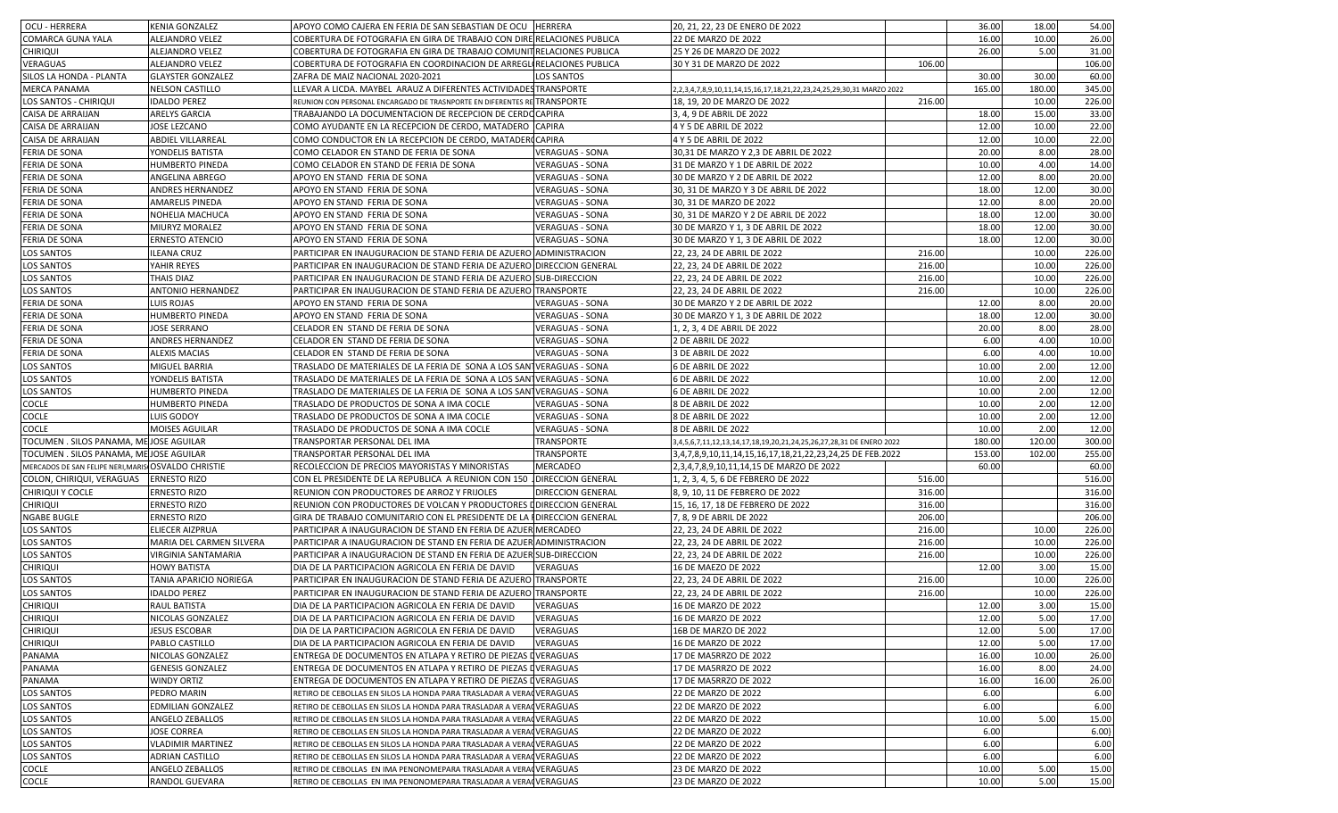| OCU - HERRERA                                       | KENIA GONZALEZ             | APOYO COMO CAJERA EN FERIA DE SAN SEBASTIAN DE OCU HERRERA               |                           | 20, 21, 22, 23 DE ENERO DE 2022                                       |        | 36.00  | 18.00  | 54.00  |
|-----------------------------------------------------|----------------------------|--------------------------------------------------------------------------|---------------------------|-----------------------------------------------------------------------|--------|--------|--------|--------|
| <b>COMARCA GUNA YALA</b>                            | ALEJANDRO VELEZ            | COBERTURA DE FOTOGRAFIA EN GIRA DE TRABAJO CON DIRE RELACIONES PUBLICA   |                           | 22 DE MARZO DE 2022                                                   |        | 16.00  | 10.00  | 26.00  |
| <b>CHIRIQUI</b>                                     | ALEJANDRO VELEZ            | COBERTURA DE FOTOGRAFIA EN GIRA DE TRABAJO COMUNITRELACIONES PUBLICA     |                           | 25 Y 26 DE MARZO DE 2022                                              |        | 26.00  | 5.00   | 31.00  |
| VERAGUAS                                            | <b>ALEJANDRO VELEZ</b>     | COBERTURA DE FOTOGRAFIA EN COORDINACION DE ARREGLIRELACIONES PUBLICA     |                           | 30 Y 31 DE MARZO DE 2022                                              | 106.00 |        |        | 106.00 |
| SILOS LA HONDA - PLANTA                             | <b>GLAYSTER GONZALEZ</b>   | ZAFRA DE MAIZ NACIONAL 2020-2021                                         | LOS SANTOS                |                                                                       |        | 30.00  | 30.00  | 60.00  |
| <b>MERCA PANAMA</b>                                 | <b>NELSON CASTILLO</b>     | LLEVAR A LICDA. MAYBEL ARAUZ A DIFERENTES ACTIVIDADESTRANSPORTE          |                           | 2,2,3,4,7,8,9,10,11,14,15,16,17,18,21,22,23,24,25,29,30,31 MARZO 2022 |        | 165.00 | 180.00 | 345.00 |
| LOS SANTOS - CHIRIQUI                               | <b>IDALDO PEREZ</b>        | REUNION CON PERSONAL ENCARGADO DE TRASNPORTE EN DIFERENTES RE TRANSPORTE |                           | 18, 19, 20 DE MARZO DE 2022                                           | 216.00 |        | 10.00  | 226.00 |
| CAISA DE ARRAIJAN                                   | ARELYS GARCIA              | TRABAJANDO LA DOCUMENTACION DE RECEPCION DE CERDOCAPIRA                  |                           | 3, 4, 9 DE ABRIL DE 2022                                              |        | 18.00  | 15.00  | 33.00  |
| CAISA DE ARRAIJAN                                   | JOSE LEZCANO               | COMO AYUDANTE EN LA RECEPCION DE CERDO, MATADERO                         | <b>CAPIRA</b>             | 4 Y 5 DE ABRIL DE 2022                                                |        | 12.00  | 10.00  | 22.00  |
| CAISA DE ARRAIJAN                                   | ABDIEL VILLARREAL          | COMO CONDUCTOR EN LA RECEPCION DE CERDO, MATADER(CAPIRA                  |                           | 4 Y 5 DE ABRIL DE 2022                                                |        | 12.00  | 10.00  | 22.00  |
| <b>FERIA DE SONA</b>                                | YONDELIS BATISTA           | COMO CELADOR EN STAND DE FERIA DE SONA                                   | <b>VERAGUAS - SONA</b>    | 30,31 DE MARZO Y 2,3 DE ABRIL DE 2022                                 |        | 20.00  | 8.00   | 28.00  |
| FERIA DE SONA                                       | <b>HUMBERTO PINEDA</b>     | COMO CELADOR EN STAND DE FERIA DE SONA                                   | <b>VERAGUAS - SONA</b>    | 31 DE MARZO Y 1 DE ABRIL DE 2022                                      |        | 10.00  | 4.00   | 14.00  |
| <b>FERIA DE SONA</b>                                | ANGELINA ABREGO            | APOYO EN STAND FERIA DE SONA                                             | <b>VERAGUAS - SONA</b>    | 30 DE MARZO Y 2 DE ABRIL DE 2022                                      |        | 12.00  | 8.00   | 20.00  |
| <b>FERIA DE SONA</b>                                | ANDRES HERNANDEZ           | APOYO EN STAND FERIA DE SONA                                             | VERAGUAS - SONA           | 30, 31 DE MARZO Y 3 DE ABRIL DE 2022                                  |        | 18.00  | 12.00  | 30.00  |
| FERIA DE SONA                                       | AMARELIS PINEDA            | APOYO EN STAND FERIA DE SONA                                             | <b>VERAGUAS - SONA</b>    | 30, 31 DE MARZO DE 2022                                               |        | 12.00  | 8.00   | 20.00  |
| FERIA DE SONA                                       | NOHELIA MACHUCA            | APOYO EN STAND FERIA DE SONA                                             | <b>VERAGUAS - SONA</b>    | 30, 31 DE MARZO Y 2 DE ABRIL DE 2022                                  |        | 18.00  | 12.00  | 30.00  |
| FERIA DE SONA                                       | MIURYZ MORALEZ             | APOYO EN STAND FERIA DE SONA                                             | <b>VERAGUAS - SONA</b>    | 30 DE MARZO Y 1, 3 DE ABRIL DE 2022                                   |        | 18.00  | 12.00  | 30.00  |
| FERIA DE SONA                                       | <b>ERNESTO ATENCIO</b>     | APOYO EN STAND FERIA DE SONA                                             | <b>VERAGUAS - SONA</b>    | 30 DE MARZO Y 1, 3 DE ABRIL DE 2022                                   |        | 18.00  | 12.00  | 30.00  |
| <b>LOS SANTOS</b>                                   | <b>ILEANA CRUZ</b>         | PARTICIPAR EN INAUGURACION DE STAND FERIA DE AZUERO ADMINISTRACION       |                           | 22, 23, 24 DE ABRIL DE 2022                                           | 216.00 |        | 10.00  | 226.00 |
| <b>LOS SANTOS</b>                                   | YAHIR REYES                | PARTICIPAR EN INAUGURACION DE STAND FERIA DE AZUERO DIRECCION GENERAL    |                           | 22, 23, 24 DE ABRIL DE 2022                                           | 216.00 |        | 10.00  | 226.00 |
| <b>LOS SANTOS</b>                                   | THAIS DIAZ                 | PARTICIPAR EN INAUGURACION DE STAND FERIA DE AZUERO SUB-DIRECCION        |                           | 22, 23, 24 DE ABRIL DE 2022                                           | 216.00 |        | 10.00  | 226.00 |
| LOS SANTOS                                          | ANTONIO HERNANDEZ          | PARTICIPAR EN INAUGURACION DE STAND FERIA DE AZUERO TRANSPORTE           |                           | 22, 23, 24 DE ABRIL DE 2022                                           | 216.00 |        | 10.00  | 226.00 |
| FERIA DE SONA                                       | <b>LUIS ROJAS</b>          | APOYO EN STAND FERIA DE SONA                                             | <b>VERAGUAS - SONA</b>    | 30 DE MARZO Y 2 DE ABRIL DE 2022                                      |        | 12.00  | 8.00   | 20.00  |
| <b>FERIA DE SONA</b>                                | <b>HUMBERTO PINEDA</b>     | APOYO EN STAND FERIA DE SONA                                             | <b>VERAGUAS - SONA</b>    | 30 DE MARZO Y 1, 3 DE ABRIL DE 2022                                   |        | 18.00  | 12.00  | 30.00  |
| FERIA DE SONA                                       | <b>JOSE SERRANO</b>        | CELADOR EN STAND DE FERIA DE SONA                                        | <b>VERAGUAS - SONA</b>    | 1, 2, 3, 4 DE ABRIL DE 2022                                           |        | 20.00  | 8.00   | 28.00  |
| <b>FERIA DE SONA</b>                                | ANDRES HERNANDEZ           | CELADOR EN STAND DE FERIA DE SONA                                        | <b>VERAGUAS - SONA</b>    | 2 DE ABRIL DE 2022                                                    |        | 6.00   | 4.00   | 10.00  |
| FERIA DE SONA                                       | <b>ALEXIS MACIAS</b>       | CELADOR EN STAND DE FERIA DE SONA                                        | <b>VERAGUAS - SONA</b>    | 3 DE ABRIL DE 2022                                                    |        | 6.00   | 4.00   | 10.00  |
| LOS SANTOS                                          | MIGUEL BARRIA              | TRASLADO DE MATERIALES DE LA FERIA DE SONA A LOS SANTVERAGUAS - SONA     |                           | 6 DE ABRIL DE 2022                                                    |        | 10.00  | 2.00   | 12.00  |
| LOS SANTOS                                          | YONDELIS BATISTA           | TRASLADO DE MATERIALES DE LA FERIA DE SONA A LOS SANTVERAGUAS - SONA     |                           | 6 DE ABRIL DE 2022                                                    |        | 10.00  | 2.00   | 12.00  |
| <b>LOS SANTOS</b>                                   | <b>HUMBERTO PINEDA</b>     | TRASLADO DE MATERIALES DE LA FERIA DE SONA A LOS SANTVERAGUAS - SONA     |                           | 6 DE ABRIL DE 2022                                                    |        | 10.00  | 2.00   | 12.00  |
| COCLE                                               | <b>HUMBERTO PINEDA</b>     | TRASLADO DE PRODUCTOS DE SONA A IMA COCLE                                | <b>VERAGUAS - SONA</b>    | 8 DE ABRIL DE 2022                                                    |        | 10.00  | 2.00   | 12.00  |
| COCLE                                               | LUIS GODOY                 | TRASLADO DE PRODUCTOS DE SONA A IMA COCLE                                | <b>VERAGUAS - SONA</b>    | 8 DE ABRIL DE 2022                                                    |        | 10.00  | 2.00   | 12.00  |
| <b>COCLE</b>                                        | MOISES AGUILAR             | TRASLADO DE PRODUCTOS DE SONA A IMA COCLE                                | <b>VERAGUAS - SONA</b>    | 8 DE ABRIL DE 2022                                                    |        | 10.00  | 2.00   | 12.00  |
| TOCUMEN . SILOS PANAMA, ME JOSE AGUILAR             |                            | TRANSPORTAR PERSONAL DEL IMA                                             | <b>TRANSPORTE</b>         | 3,4,5,6,7,11,12,13,14,17,18,19,20,21,24,25,26,27,28,31 DE ENERO 2022  |        | 180.00 | 120.00 | 300.00 |
| TOCUMEN . SILOS PANAMA, ME JOSE AGUILAR             |                            | TRANSPORTAR PERSONAL DEL IMA                                             | <b>TRANSPORTE</b>         | 3,4,7,8,9,10,11,14,15,16,17,18,21,22,23,24,25 DE FEB.2022             |        | 153.00 | 102.00 | 255.00 |
| MERCADOS DE SAN FELIPE NERI, MARIS OSVALDO CHRISTIE |                            | RECOLECCION DE PRECIOS MAYORISTAS Y MINORISTAS                           | MERCADEO                  | 2,3,4,7,8,9,10,11,14,15 DE MARZO DE 2022                              |        | 60.00  |        | 60.00  |
| COLON, CHIRIQUI, VERAGUAS                           | <b>ERNESTO RIZO</b>        | CON EL PRESIDENTE DE LA REPUBLICA A REUNION CON 150                      | <b>DIRECCION GENERAL</b>  | 1, 2, 3, 4, 5, 6 DE FEBRERO DE 2022                                   | 516.00 |        |        | 516.00 |
| <b>CHIRIQUI Y COCLE</b>                             | <b>ERNESTO RIZO</b>        | REUNION CON PRODUCTORES DE ARROZ Y FRIJOLES                              | <b>DIRECCION GENERAL</b>  | 8, 9, 10, 11 DE FEBRERO DE 2022                                       | 316.00 |        |        | 316.00 |
| <b>CHIRIQUI</b>                                     | <b>ERNESTO RIZO</b>        | REUNION CON PRODUCTORES DE VOLCAN Y PRODUCTORES                          | <b>LDIRECCION GENERAL</b> | 15, 16, 17, 18 DE FEBRERO DE 2022                                     | 316.00 |        |        | 316.00 |
| <b>NGABE BUGLE</b>                                  | ERNESTO RIZO               | GIRA DE TRABAJO COMUNITARIO CON EL PRESIDENTE DE LA I DIRECCION GENERAL  |                           | 7, 8, 9 DE ABRIL DE 2022                                              | 206.00 |        |        | 206.00 |
| <b>LOS SANTOS</b>                                   | ELIECER AIZPRUA            | PARTICIPAR A INAUGURACION DE STAND EN FERIA DE AZUER MERCADEO            |                           | 22, 23, 24 DE ABRIL DE 2022                                           | 216.00 |        | 10.00  | 226.00 |
| <b>LOS SANTOS</b>                                   | MARIA DEL CARMEN SILVERA   | PARTICIPAR A INAUGURACION DE STAND EN FERIA DE AZUER ADMINISTRACION      |                           | 22, 23, 24 DE ABRIL DE 2022                                           | 216.00 |        | 10.00  | 226.00 |
| LOS SANTOS                                          | <b>VIRGINIA SANTAMARIA</b> | PARTICIPAR A INAUGURACION DE STAND EN FERIA DE AZUER SUB-DIRECCION       |                           | 22, 23, 24 DE ABRIL DE 2022                                           | 216.00 |        | 10.00  | 226.00 |
| <b>CHIRIQUI</b>                                     | <b>HOWY BATISTA</b>        | DIA DE LA PARTICIPACION AGRICOLA EN FERIA DE DAVID                       | VERAGUAS                  | 16 DE MAEZO DE 2022                                                   |        | 12.00  | 3.00   | 15.00  |
| <b>LOS SANTOS</b>                                   | TANIA APARICIO NORIEGA     | PARTICIPAR EN INAUGURACION DE STAND FERIA DE AZUERO TRANSPORTE           |                           | 22, 23, 24 DE ABRIL DE 2022                                           | 216.00 |        | 10.00  | 226.00 |
| <b>LOS SANTOS</b>                                   | <b>IDALDO PEREZ</b>        | PARTICIPAR EN INAUGURACION DE STAND FERIA DE AZUERO TRANSPORTE           |                           | 22, 23, 24 DE ABRIL DE 2022                                           | 216.00 |        | 10.00  | 226.00 |
| <b>CHIRIQUI</b>                                     | RAUL BATISTA               | DIA DE LA PARTICIPACION AGRICOLA EN FERIA DE DAVID                       | VERAGUAS                  | 16 DE MARZO DE 2022                                                   |        | 12.00  | 3.00   | 15.00  |
| <b>CHIRIQUI</b>                                     | NICOLAS GONZALEZ           | DIA DE LA PARTICIPACION AGRICOLA EN FERIA DE DAVID                       | <b>VERAGUAS</b>           | 16 DE MARZO DE 2022                                                   |        | 12.00  | 5.00   | 17.00  |
| <b>CHIRIQUI</b>                                     | <b>JESUS ESCOBAR</b>       | DIA DE LA PARTICIPACION AGRICOLA EN FERIA DE DAVID                       | VERAGUAS                  | 16B DE MARZO DE 2022                                                  |        | 12.00  | 5.00   | 17.00  |
| <b>CHIRIQUI</b>                                     | PABLO CASTILLO             | DIA DE LA PARTICIPACION AGRICOLA EN FERIA DE DAVID                       | VERAGUAS                  | 16 DE MARZO DE 2022                                                   |        | 12.00  | 5.00   | 17.00  |
| PANAMA                                              | NICOLAS GONZALEZ           | ENTREGA DE DOCUMENTOS EN ATLAPA Y RETIRO DE PIEZAS I VERAGUAS            |                           | 17 DE MA5RRZO DE 2022                                                 |        | 16.00  | 10.00  | 26.00  |
| PANAMA                                              | <b>GENESIS GONZALEZ</b>    | ENTREGA DE DOCUMENTOS EN ATLAPA Y RETIRO DE PIEZAS I VERAGUAS            |                           | 17 DE MA5RRZO DE 2022                                                 |        | 16.00  | 8.00   | 24.00  |
| PANAMA                                              | <b>WINDY ORTIZ</b>         | ENTREGA DE DOCUMENTOS EN ATLAPA Y RETIRO DE PIEZAS I VERAGUAS            |                           | 17 DE MA5RRZO DE 2022                                                 |        | 16.00  | 16.00  | 26.00  |
| <b>LOS SANTOS</b>                                   | PEDRO MARIN                | RETIRO DE CEBOLLAS EN SILOS LA HONDA PARA TRASLADAR A VERA VERAGUAS      |                           | 22 DE MARZO DE 2022                                                   |        | 6.00   |        | 6.00   |
| LOS SANTOS                                          | <b>EDMILIAN GONZALEZ</b>   | RETIRO DE CEBOLLAS EN SILOS LA HONDA PARA TRASLADAR A VERAQVERAGUAS      |                           | 22 DE MARZO DE 2022                                                   |        | 6.00   |        | 6.00   |
| <b>LOS SANTOS</b>                                   | ANGELO ZEBALLOS            | RETIRO DE CEBOLLAS EN SILOS LA HONDA PARA TRASLADAR A VERA VERAGUAS      |                           | 22 DE MARZO DE 2022                                                   |        | 10.00  | 5.00   | 15.00  |
| <b>LOS SANTOS</b>                                   | <b>JOSE CORREA</b>         | RETIRO DE CEBOLLAS EN SILOS LA HONDA PARA TRASLADAR A VERA VERAGUAS      |                           | 22 DE MARZO DE 2022                                                   |        | 6.00   |        | 6.00   |
| LOS SANTOS                                          | <b>VLADIMIR MARTINEZ</b>   | RETIRO DE CEBOLLAS EN SILOS LA HONDA PARA TRASLADAR A VERACVERAGUAS      |                           | 22 DE MARZO DE 2022                                                   |        | 6.00   |        | 6.00   |
| <b>LOS SANTOS</b>                                   | ADRIAN CASTILLO            | RETIRO DE CEBOLLAS EN SILOS LA HONDA PARA TRASLADAR A VERA VERAGUAS      |                           | 22 DE MARZO DE 2022                                                   |        | 6.00   |        | 6.00   |
| COCLE                                               | ANGELO ZEBALLOS            | RETIRO DE CEBOLLAS EN IMA PENONOMEPARA TRASLADAR A VERACVERAGUAS         |                           | 23 DE MARZO DE 2022                                                   |        | 10.00  | 5.00   | 15.00  |
| <b>COCLE</b>                                        | <b>RANDOL GUEVARA</b>      | RETIRO DE CEBOLLAS EN IMA PENONOMEPARA TRASLADAR A VERACVERAGUAS         |                           | 23 DE MARZO DE 2022                                                   |        | 10.00  | 5.00   | 15.00  |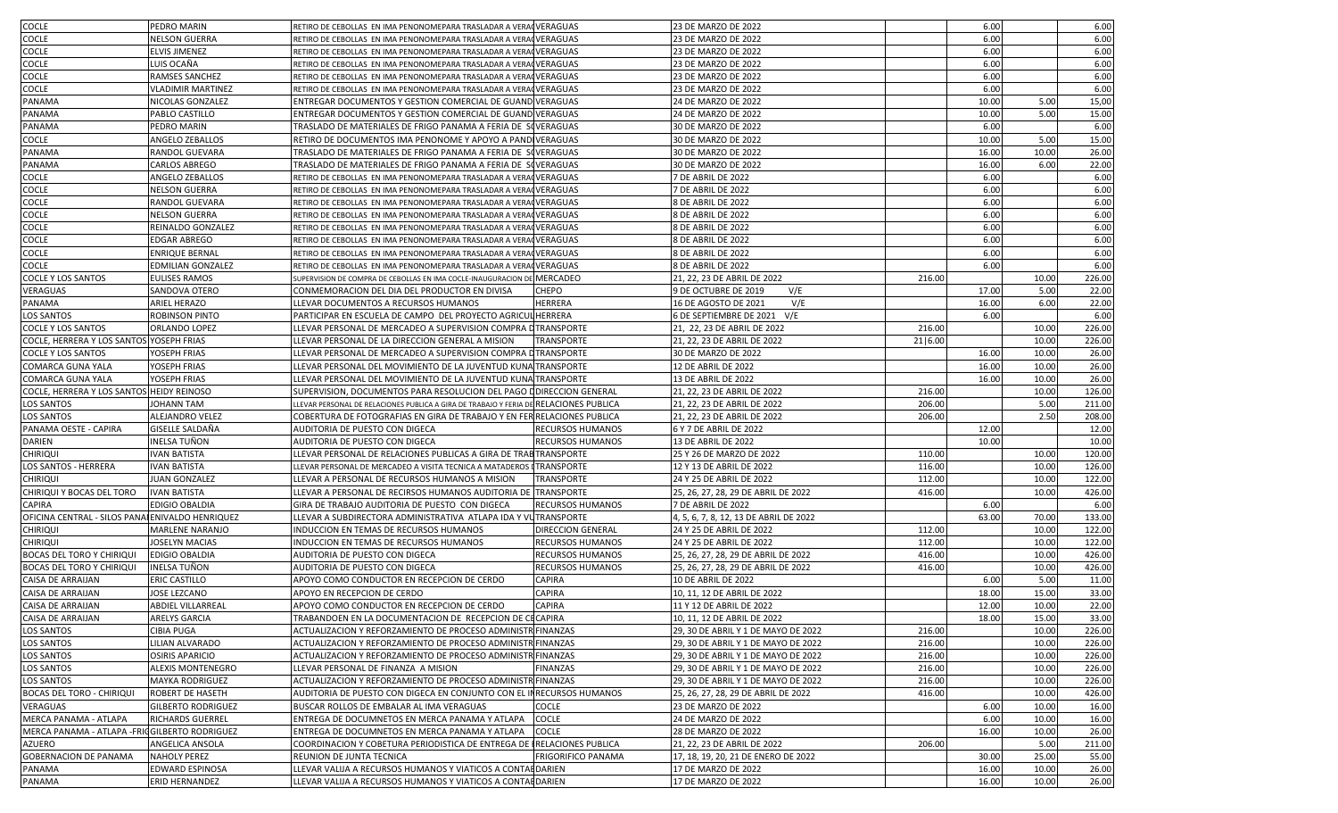| <b>COCLE</b>                                     | PEDRO MARIN                       | RETIRO DE CEBOLLAS EN IMA PENONOMEPARA TRASLADAR A VERAQVERAGUAS                     |                                                     | 23 DE MARZO DE 2022                                  |         | 6.00  |       | 6.00             |
|--------------------------------------------------|-----------------------------------|--------------------------------------------------------------------------------------|-----------------------------------------------------|------------------------------------------------------|---------|-------|-------|------------------|
| <b>COCLE</b>                                     | NELSON GUERRA                     | RETIRO DE CEBOLLAS EN IMA PENONOMEPARA TRASLADAR A VERACVERAGUAS                     |                                                     | 23 DE MARZO DE 2022                                  |         | 6.00  |       | 6.00             |
| <b>COCLE</b>                                     | ELVIS JIMENEZ                     | RETIRO DE CEBOLLAS EN IMA PENONOMEPARA TRASLADAR A VERACVERAGUAS                     |                                                     | 23 DE MARZO DE 2022                                  |         | 6.00  |       | 6.00             |
| <b>COCLE</b>                                     | LUIS OCAÑA                        | RETIRO DE CEBOLLAS EN IMA PENONOMEPARA TRASLADAR A VERAQ VERAGUAS                    |                                                     | 23 DE MARZO DE 2022                                  |         | 6.00  |       | 6.00             |
| <b>COCLE</b>                                     | RAMSES SANCHEZ                    | RETIRO DE CEBOLLAS EN IMA PENONOMEPARA TRASLADAR A VERAQ VERAGUAS                    |                                                     | 23 DE MARZO DE 2022                                  |         | 6.00  |       | 6.00             |
| COCLE                                            | VLADIMIR MARTINEZ                 | RETIRO DE CEBOLLAS EN IMA PENONOMEPARA TRASLADAR A VERACVERAGUAS                     |                                                     | 23 DE MARZO DE 2022                                  |         | 6.00  |       | 6.00             |
| PANAMA                                           | NICOLAS GONZALEZ                  | ENTREGAR DOCUMENTOS Y GESTION COMERCIAL DE GUAND VERAGUAS                            |                                                     | 24 DE MARZO DE 2022                                  |         | 10.00 | 5.00  | 15,00            |
| PANAMA                                           | PABLO CASTILLO                    | ENTREGAR DOCUMENTOS Y GESTION COMERCIAL DE GUAND VERAGUAS                            |                                                     | 24 DE MARZO DE 2022                                  |         | 10.00 | 5.00  | 15.00            |
| PANAMA                                           | PEDRO MARIN                       | TRASLADO DE MATERIALES DE FRIGO PANAMA A FERIA DE SOVERAGUAS                         |                                                     | 30 DE MARZO DE 2022                                  |         | 6.00  |       | 6.00             |
| <b>COCLE</b>                                     | ANGELO ZEBALLOS                   | RETIRO DE DOCUMENTOS IMA PENONOME Y APOYO A PANDIVERAGUAS                            |                                                     | 30 DE MARZO DE 2022                                  |         | 10.00 | 5.00  | 15.00            |
| PANAMA                                           | RANDOL GUEVARA                    | TRASLADO DE MATERIALES DE FRIGO PANAMA A FERIA DE SOVERAGUAS                         |                                                     | 30 DE MARZO DE 2022                                  |         | 16.00 | 10.00 | 26.00            |
| <b>PANAMA</b>                                    | CARLOS ABREGO                     | TRASLADO DE MATERIALES DE FRIGO PANAMA A FERIA DE SOVERAGUAS                         |                                                     | 30 DE MARZO DE 2022                                  |         | 16.00 | 6.00  | 22.00            |
|                                                  |                                   |                                                                                      |                                                     |                                                      |         |       |       |                  |
| <b>COCLE</b>                                     | ANGELO ZEBALLOS                   | RETIRO DE CEBOLLAS EN IMA PENONOMEPARA TRASLADAR A VERACVERAGUAS                     |                                                     | 7 DE ABRIL DE 2022                                   |         | 6.00  |       | 6.00             |
| <b>COCLE</b>                                     | <b>NELSON GUERRA</b>              | RETIRO DE CEBOLLAS EN IMA PENONOMEPARA TRASLADAR A VERAQ VERAGUAS                    |                                                     | 7 DE ABRIL DE 2022                                   |         | 6.00  |       | 6.00             |
| <b>COCLE</b>                                     | RANDOL GUEVARA                    | RETIRO DE CEBOLLAS EN IMA PENONOMEPARA TRASLADAR A VERAQ VERAGUAS                    |                                                     | 8 DE ABRIL DE 2022                                   |         | 6.00  |       | 6.00             |
| <b>COCLE</b>                                     | <b>NELSON GUERRA</b>              | RETIRO DE CEBOLLAS EN IMA PENONOMEPARA TRASLADAR A VERAQ VERAGUAS                    |                                                     | 8 DE ABRIL DE 2022                                   |         | 6.00  |       | 6.00             |
| <b>COCLE</b>                                     | REINALDO GONZALEZ                 | RETIRO DE CEBOLLAS EN IMA PENONOMEPARA TRASLADAR A VERACVERAGUAS                     |                                                     | 8 DE ABRIL DE 2022                                   |         | 6.00  |       | 6.00             |
| <b>COCLE</b>                                     | <b>EDGAR ABREGO</b>               | RETIRO DE CEBOLLAS EN IMA PENONOMEPARA TRASLADAR A VERACVERAGUAS                     |                                                     | 8 DE ABRIL DE 2022                                   |         | 6.00  |       | 6.00             |
| <b>COCLE</b>                                     | ENRIQUE BERNAL                    | RETIRO DE CEBOLLAS EN IMA PENONOMEPARA TRASLADAR A VERAQ VERAGUAS                    |                                                     | 8 DE ABRIL DE 2022                                   |         | 6.00  |       | 6.00             |
| <b>COCLE</b>                                     | EDMILIAN GONZALEZ                 | RETIRO DE CEBOLLAS EN IMA PENONOMEPARA TRASLADAR A VERAQVERAGUAS                     |                                                     | 8 DE ABRIL DE 2022                                   |         | 6.00  |       | 6.00             |
| <b>COCLE Y LOS SANTOS</b>                        | <b>EULISES RAMOS</b>              | SUPERVISION DE COMPRA DE CEBOLLAS EN IMA COCLE-INAUGURACION DE MERCADEO              |                                                     | 21, 22, 23 DE ABRIL DE 2022                          | 216.00  |       | 10.00 | 226.00           |
| <b>VERAGUAS</b>                                  | SANDOVA OTERO                     | CONMEMORACION DEL DIA DEL PRODUCTOR EN DIVISA                                        | <b>CHEPO</b>                                        | 9 DE OCTUBRE DE 2019<br>V/E                          |         | 17.00 | 5.00  | 22.00            |
| PANAMA                                           | ARIEL HERAZO                      | LLEVAR DOCUMENTOS A RECURSOS HUMANOS                                                 | <b>HERRERA</b>                                      | V/E<br>16 DE AGOSTO DE 2021                          |         | 16.00 | 6.00  | 22.00            |
| <b>LOS SANTOS</b>                                | ROBINSON PINTO                    | PARTICIPAR EN ESCUELA DE CAMPO DEL PROYECTO AGRICULHERRERA                           |                                                     | 6 DE SEPTIEMBRE DE 2021 V/E                          |         | 6.00  |       | 6.00             |
| <b>COCLE Y LOS SANTOS</b>                        | ORLANDO LOPEZ                     | LLEVAR PERSONAL DE MERCADEO A SUPERVISION COMPRA DTRANSPORTE                         |                                                     | 21, 22, 23 DE ABRIL DE 2022                          | 216.00  |       | 10.00 | 226.00           |
| COCLE, HERRERA Y LOS SANTOS YOSEPH FRIAS         |                                   | LLEVAR PERSONAL DE LA DIRECCION GENERAL A MISION                                     | <b>TRANSPORTE</b>                                   | 21, 22, 23 DE ABRIL DE 2022                          | 21 6.00 |       | 10.00 | 226.00           |
| <b>COCLE Y LOS SANTOS</b>                        | YOSEPH FRIAS                      | LLEVAR PERSONAL DE MERCADEO A SUPERVISION COMPRA DTRANSPORTE                         |                                                     | 30 DE MARZO DE 2022                                  |         | 16.00 | 10.00 | 26.00            |
| <b>COMARCA GUNA YALA</b>                         | YOSEPH FRIAS                      | LLEVAR PERSONAL DEL MOVIMIENTO DE LA JUVENTUD KUNA TRANSPORTE                        |                                                     | 12 DE ABRIL DE 2022                                  |         | 16.00 | 10.00 | 26.00            |
| <b>COMARCA GUNA YALA</b>                         | YOSEPH FRIAS                      | LLEVAR PERSONAL DEL MOVIMIENTO DE LA JUVENTUD KUNA TRANSPORTE                        |                                                     | 13 DE ABRIL DE 2022                                  |         | 16.00 | 10.00 | 26.00            |
| COCLE, HERRERA Y LOS SANTOS HEIDY REINOSO        |                                   | SUPERVISION, DOCUMENTOS PARA RESOLUCION DEL PAGO I DIRECCION GENERAL                 |                                                     | 21, 22, 23 DE ABRIL DE 2022                          | 216.00  |       | 10.00 | 126.00           |
| <b>LOS SANTOS</b>                                | IOHANN TAM                        | LEVAR PERSONAL DE RELACIONES PUBLICA A GIRA DE TRABAJO Y FERIA DE RELACIONES PUBLICA |                                                     | 21, 22, 23 DE ABRIL DE 2022                          | 206.00  |       | 5.00  | 211.00           |
| <b>LOS SANTOS</b>                                | ALEJANDRO VELEZ                   | COBERTURA DE FOTOGRAFIAS EN GIRA DE TRABAJO Y EN FER RELACIONES PUBLICA              |                                                     | 21, 22, 23 DE ABRIL DE 2022                          | 206.00  |       | 2.50  | 208.00           |
| PANAMA OESTE - CAPIRA                            | GISELLE SALDAÑA                   | AUDITORIA DE PUESTO CON DIGECA                                                       | <b>RECURSOS HUMANOS</b>                             | 6 Y 7 DE ABRIL DE 2022                               |         | 12.00 |       | 12.00            |
| <b>DARIEN</b>                                    | INELSA TUÑON                      | AUDITORIA DE PUESTO CON DIGECA                                                       | <b>RECURSOS HUMANOS</b>                             | 13 DE ABRIL DE 2022                                  |         | 10.00 |       | 10.00            |
| <b>CHIRIQUI</b>                                  | IVAN BATISTA                      | LLEVAR PERSONAL DE RELACIONES PUBLICAS A GIRA DE TRAB TRANSPORTE                     |                                                     | 25 Y 26 DE MARZO DE 2022                             | 110.00  |       | 10.00 | 120.00           |
| <b>LOS SANTOS - HERRERA</b>                      | <b>IVAN BATISTA</b>               | LLEVAR PERSONAL DE MERCADEO A VISITA TECNICA A MATADEROS I TRANSPORTE                |                                                     | 12 Y 13 DE ABRIL DE 2022                             | 116.00  |       | 10.00 | 126.00           |
| <b>CHIRIQUI</b>                                  | JUAN GONZALEZ                     | LLEVAR A PERSONAL DE RECURSOS HUMANOS A MISION                                       | <b>TRANSPORTE</b>                                   | 24 Y 25 DE ABRIL DE 2022                             | 112.00  |       | 10.00 | 122.00           |
| CHIRIQUI Y BOCAS DEL TORO                        | <b>IVAN BATISTA</b>               | LLEVAR A PERSONAL DE RECIRSOS HUMANOS AUDITORIA DE TRANSPORTE                        |                                                     | 25, 26, 27, 28, 29 DE ABRIL DE 2022                  | 416.00  |       | 10.00 | 426.00           |
| <b>CAPIRA</b>                                    | <b>EDIGIO OBALDIA</b>             | GIRA DE TRABAJO AUDITORIA DE PUESTO CON DIGECA                                       | <b>RECURSOS HUMANOS</b>                             | 7 DE ABRIL DE 2022                                   |         | 6.00  |       | 6.00             |
| OFICINA CENTRAL - SILOS PANAI ENIVALDO HENRIQUEZ |                                   | LLEVAR A SUBDIRECTORA ADMINISTRATIVA ATLAPA IDA Y VUTRANSPORTE                       |                                                     | 4, 5, 6, 7, 8, 12, 13 DE ABRIL DE 2022               |         | 63.00 | 70.00 | 133.00           |
|                                                  |                                   |                                                                                      |                                                     |                                                      | 112.00  |       | 10.00 |                  |
| <b>CHIRIQUI</b><br><b>CHIRIQUI</b>               | MARLENE NARANJO<br>JOSELYN MACIAS | INDUCCION EN TEMAS DE RECURSOS HUMANOS<br>INDUCCION EN TEMAS DE RECURSOS HUMANOS     | <b>DIRECCION GENERAL</b><br><b>RECURSOS HUMANOS</b> | 24 Y 25 DE ABRIL DE 2022<br>24 Y 25 DE ABRIL DE 2022 | 112.00  |       | 10.00 | 122.00<br>122.00 |
| <b>BOCAS DEL TORO Y CHIRIQUI</b>                 |                                   |                                                                                      |                                                     |                                                      |         |       |       |                  |
|                                                  | <b>EDIGIO OBALDIA</b>             | AUDITORIA DE PUESTO CON DIGECA                                                       | <b>RECURSOS HUMANOS</b>                             | 25, 26, 27, 28, 29 DE ABRIL DE 2022                  | 416.00  |       | 10.00 | 426.00           |
| <b>BOCAS DEL TORO Y CHIRIQUI</b>                 | INELSA TUÑON                      | AUDITORIA DE PUESTO CON DIGECA                                                       | <b>RECURSOS HUMANOS</b>                             | 25, 26, 27, 28, 29 DE ABRIL DE 2022                  | 416.00  |       | 10.00 | 426.00           |
| CAISA DE ARRAIJAN                                | ERIC CASTILLO                     | APOYO COMO CONDUCTOR EN RECEPCION DE CERDO                                           | <b>CAPIRA</b>                                       | 10 DE ABRIL DE 2022                                  |         | 6.00  | 5.00  | 11.00            |
| CAISA DE ARRAIJAN                                | JOSE LEZCANO                      | APOYO EN RECEPCION DE CERDO                                                          | <b>CAPIRA</b>                                       | 10, 11, 12 DE ABRIL DE 2022                          |         | 18.00 | 15.00 | 33.00            |
| CAISA DE ARRAIJAN                                | ABDIEL VILLARREAL                 | APOYO COMO CONDUCTOR EN RECEPCION DE CERDO                                           | <b>CAPIRA</b>                                       | 11 Y 12 DE ABRIL DE 2022                             |         | 12.00 | 10.00 | 22.00            |
| <b>CAISA DE ARRAIJAN</b>                         | <b>ARELYS GARCIA</b>              | TRABANDOEN EN LA DOCUMENTACION DE RECEPCION DE CECAPIRA                              |                                                     | 10, 11, 12 DE ABRIL DE 2022                          |         | 18.00 | 15.00 | 33.00            |
| <b>LOS SANTOS</b>                                | CIBIA PUGA                        | ACTUALIZACION Y REFORZAMIENTO DE PROCESO ADMINISTR FINANZAS                          |                                                     | 29, 30 DE ABRIL Y 1 DE MAYO DE 2022                  | 216.00  |       | 10.00 | 226.00           |
| <b>LOS SANTOS</b>                                | LILIAN ALVARADO                   | ACTUALIZACION Y REFORZAMIENTO DE PROCESO ADMINISTR FINANZAS                          |                                                     | 29, 30 DE ABRIL Y 1 DE MAYO DE 2022                  | 216.00  |       | 10.00 | 226.00           |
| <b>LOS SANTOS</b>                                | OSIRIS APARICIO                   | ACTUALIZACION Y REFORZAMIENTO DE PROCESO ADMINISTR FINANZAS                          |                                                     | 29, 30 DE ABRIL Y 1 DE MAYO DE 2022                  | 216.00  |       | 10.00 | 226.00           |
| <b>LOS SANTOS</b>                                | ALEXIS MONTENEGRO                 | LLEVAR PERSONAL DE FINANZA A MISION                                                  | <b>FINANZAS</b>                                     | 29, 30 DE ABRIL Y 1 DE MAYO DE 2022                  | 216.00  |       | 10.00 | 226.00           |
| <b>LOS SANTOS</b>                                | <b>MAYKA RODRIGUEZ</b>            | ACTUALIZACION Y REFORZAMIENTO DE PROCESO ADMINISTR FINANZAS                          |                                                     | 29, 30 DE ABRIL Y 1 DE MAYO DE 2022                  | 216.00  |       | 10.00 | 226.00           |
| <b>BOCAS DEL TORO - CHIRIQUI</b>                 | ROBERT DE HASETH                  | AUDITORIA DE PUESTO CON DIGECA EN CONJUNTO CON EL INRECURSOS HUMANOS                 |                                                     | 25, 26, 27, 28, 29 DE ABRIL DE 2022                  | 416.00  |       | 10.00 | 426.00           |
| <b>VERAGUAS</b>                                  | <b>GILBERTO RODRIGUEZ</b>         | BUSCAR ROLLOS DE EMBALAR AL IMA VERAGUAS                                             | <b>COCLE</b>                                        | 23 DE MARZO DE 2022                                  |         | 6.00  | 10.00 | 16.00            |
| MERCA PANAMA - ATLAPA                            | RICHARDS GUERREL                  | ENTREGA DE DOCUMNETOS EN MERCA PANAMA Y ATLAPA                                       | <b>COCLE</b>                                        | 24 DE MARZO DE 2022                                  |         | 6.00  | 10.00 | 16.00            |
| MERCA PANAMA - ATLAPA - FRIC GILBERTO RODRIGUEZ  |                                   | ENTREGA DE DOCUMNETOS EN MERCA PANAMA Y ATLAPA                                       | <b>COCLE</b>                                        | 28 DE MARZO DE 2022                                  |         | 16.00 | 10.00 | 26.00            |
| AZUERO                                           | ANGELICA ANSOLA                   | COORDINACION Y COBETURA PERIODISTICA DE ENTREGA DE IRELACIONES PUBLICA               |                                                     | 21, 22, 23 DE ABRIL DE 2022                          | 206.00  |       | 5.00  | 211.00           |
| <b>GOBERNACION DE PANAMA</b>                     | <b>NAHOLY PEREZ</b>               | REUNION DE JUNTA TECNICA                                                             | <b>FRIGORIFICO PANAMA</b>                           | 17, 18, 19, 20, 21 DE ENERO DE 2022                  |         | 30.00 | 25.00 | 55.00            |
| PANAMA                                           | EDWARD ESPINOSA                   | LLEVAR VALIJA A RECURSOS HUMANOS Y VIATICOS A CONTAEDARIEN                           |                                                     | 17 DE MARZO DE 2022                                  |         | 16.00 | 10.00 | 26.00            |
| PANAMA                                           | ERID HERNANDEZ                    | LLEVAR VALIJA A RECURSOS HUMANOS Y VIATICOS A CONTAL DARIEN                          |                                                     | 17 DE MARZO DE 2022                                  |         | 16.00 | 10.00 | 26.00            |